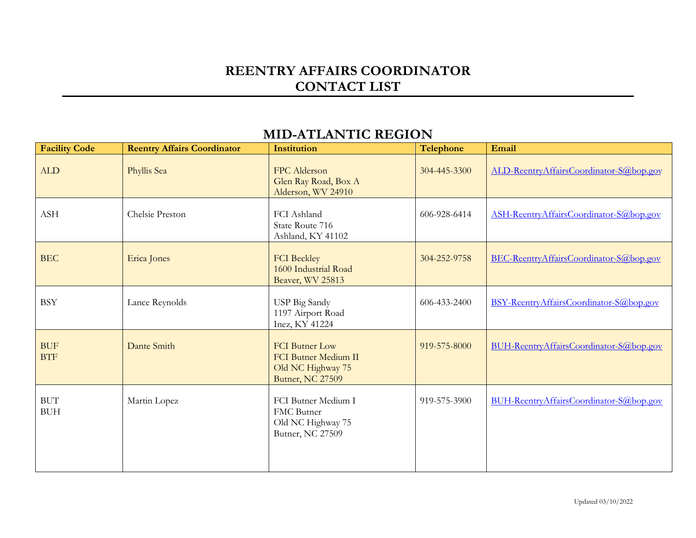#### **REENTRY AFFAIRS COORDINATOR CONTACT LIST**

#### **Facility** Code Reentry Affairs Coordinator Institution Telephone Email ALD Phyllis Sea FPC Alderson Glen Ray Road, Box A Alderson, WV 24910 304-445-3300 [ALD-ReentryAffairsCoordinator-](mailto:ALD-ReentryAffairsCoordinator-S@bop.gov)S@bop.gov ASH Chelsie Preston FCI Ashland State Route 716 Ashland, KY 41102 606-928-6414 [ASH-ReentryAffairsCoordinator-S@bop.gov](mailto:ASH-ReentryAffairsCoordinator-S@bop.gov) BEC Erica Jones FCI Beckley 1600 Industrial Road Beaver, WV 25813 304-252-9758 [BEC-ReentryAffairsCoordinator-S@bop.gov](mailto:BEC-ReentryAffairsCoordinator-S@bop.gov) BSY Lance Reynolds USP Big Sandy 1197 Airport Road Inez, KY 41224 606-433-2400 [BSY-ReentryAffairsCoordinator-S@bop.gov](mailto:BSY-ReentryAffairsCoordinator-S@bop.gov) **BUF BTF** Dante Smith **FCI Butner Low** FCI Butner Medium II Old NC Highway 75 Butner, NC 27509 919-575-8000 [BUH-ReentryAffairsCoordinator-S@bop.gov](mailto:BUH-ReentryAffairsCoordinator-S@bop.gov) BUT BUH Martin Lopez FCI Butner Medium I FMC Butner Old NC Highway 75 Butner, NC 27509 919-575-3900 [BUH-ReentryAffairsCoordinator-S@bop.gov](mailto:BUH-ReentryAffairsCoordinator-S@bop.gov)

## **MID-ATLANTIC REGION**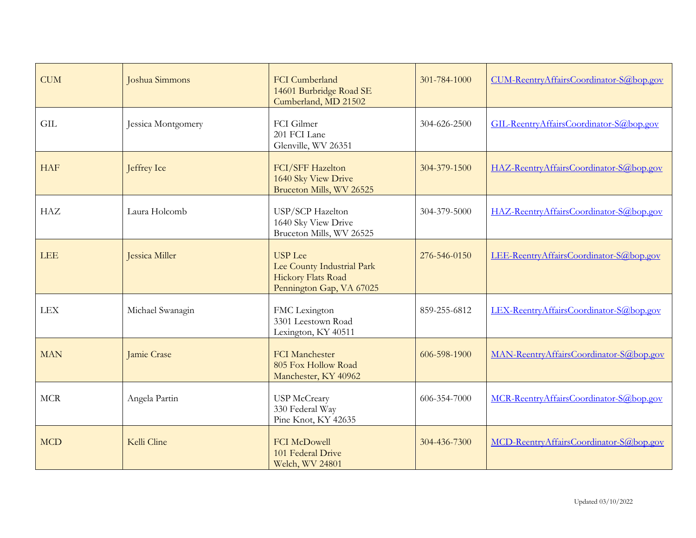| <b>CUM</b> | Joshua Simmons     | <b>FCI</b> Cumberland<br>14601 Burbridge Road SE<br>Cumberland, MD 21502                       | 301-784-1000 | CUM-ReentryAffairsCoordinator-S@bop.gov |
|------------|--------------------|------------------------------------------------------------------------------------------------|--------------|-----------------------------------------|
| <b>GIL</b> | Jessica Montgomery | FCI Gilmer<br>201 FCI Lane<br>Glenville, WV 26351                                              | 304-626-2500 | GIL-ReentryAffairsCoordinator-S@bop.gov |
| <b>HAF</b> | Jeffrey Ice        | FCI/SFF Hazelton<br>1640 Sky View Drive<br>Bruceton Mills, WV 26525                            | 304-379-1500 | HAZ-ReentryAffairsCoordinator-S@bop.gov |
| <b>HAZ</b> | Laura Holcomb      | USP/SCP Hazelton<br>1640 Sky View Drive<br>Bruceton Mills, WV 26525                            | 304-379-5000 | HAZ-ReentryAffairsCoordinator-S@bop.gov |
| <b>LEE</b> | Jessica Miller     | <b>USP</b> Lee<br>Lee County Industrial Park<br>Hickory Flats Road<br>Pennington Gap, VA 67025 | 276-546-0150 | LEE-ReentryAffairsCoordinator-S@bop.gov |
| <b>LEX</b> | Michael Swanagin   | FMC Lexington<br>3301 Leestown Road<br>Lexington, KY 40511                                     | 859-255-6812 | LEX-ReentryAffairsCoordinator-S@bop.gov |
| <b>MAN</b> | Jamie Crase        | <b>FCI</b> Manchester<br>805 Fox Hollow Road<br>Manchester, KY 40962                           | 606-598-1900 | MAN-ReentryAffairsCoordinator-S@bop.gov |
| <b>MCR</b> | Angela Partin      | USP McCreary<br>330 Federal Way<br>Pine Knot, KY 42635                                         | 606-354-7000 | MCR-ReentryAffairsCoordinator-S@bop.gov |
| <b>MCD</b> | Kelli Cline        | <b>FCI McDowell</b><br>101 Federal Drive<br>Welch, WV 24801                                    | 304-436-7300 | MCD-ReentryAffairsCoordinator-S@bop.gov |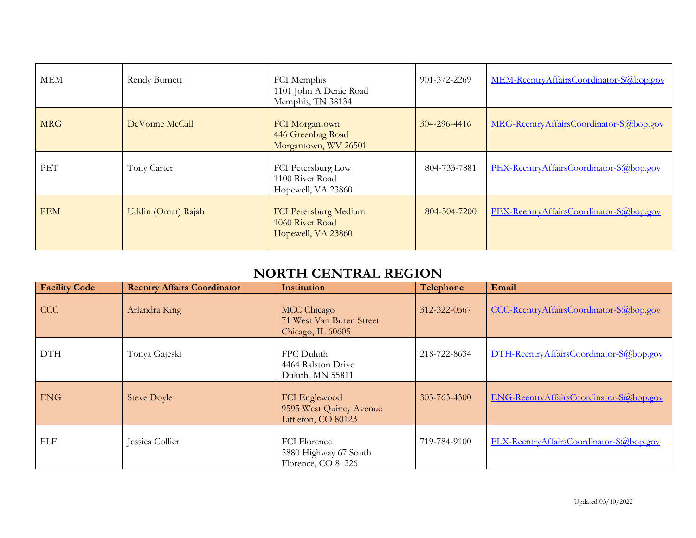| MEM        | Rendy Burnett      | FCI Memphis<br>1101 John A Denie Road<br>Memphis, TN 38134     | 901-372-2269 | MEM-ReentryAffairsCoordinator-S@bop.gov |
|------------|--------------------|----------------------------------------------------------------|--------------|-----------------------------------------|
| <b>MRG</b> | DeVonne McCall     | FCI Morgantown<br>446 Greenbag Road<br>Morgantown, WV 26501    | 304-296-4416 | MRG-ReentryAffairsCoordinator-S@bop.gov |
| <b>PET</b> | Tony Carter        | FCI Petersburg Low<br>1100 River Road<br>Hopewell, VA 23860    | 804-733-7881 | PEX-ReentryAffairsCoordinator-S@bop.gov |
| <b>PEM</b> | Uddin (Omar) Rajah | FCI Petersburg Medium<br>1060 River Road<br>Hopewell, VA 23860 | 804-504-7200 | PEX-ReentryAffairsCoordinator-S@bop.gov |

# **NORTH CENTRAL REGION**

| <b>Facility Code</b> | <b>Reentry Affairs Coordinator</b> | Institution                                                        | Telephone    | Email                                   |
|----------------------|------------------------------------|--------------------------------------------------------------------|--------------|-----------------------------------------|
| <b>CCC</b>           | Arlandra King                      | MCC Chicago<br>71 West Van Buren Street<br>Chicago, IL 60605       | 312-322-0567 | CCC-ReentryAffairsCoordinator-S@bop.gov |
| <b>DTH</b>           | Tonya Gajeski                      | FPC Duluth<br>4464 Ralston Drive<br>Duluth, MN 55811               | 218-722-8634 | DTH-ReentryAffairsCoordinator-S@bop.gov |
| <b>ENG</b>           | <b>Steve Doyle</b>                 | FCI Englewood<br>9595 West Quincy Avenue<br>Littleton, CO 80123    | 303-763-4300 | ENG-ReentryAffairsCoordinator-S@bop.gov |
| <b>FLF</b>           | Jessica Collier                    | <b>FCI</b> Florence<br>5880 Highway 67 South<br>Florence, CO 81226 | 719-784-9100 | FLX-ReentryAffairsCoordinator-S@bop.gov |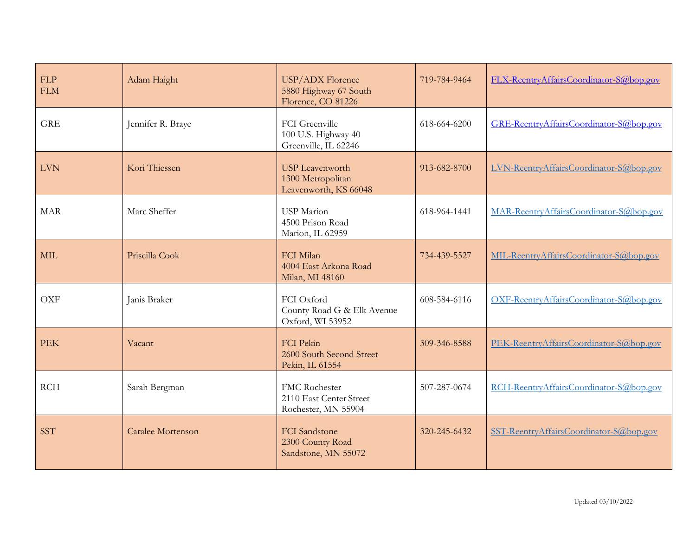| FLP<br><b>FLM</b> | Adam Haight       | USP/ADX Florence<br>5880 Highway 67 South<br>Florence, CO 81226      | 719-784-9464 | FLX-ReentryAffairsCoordinator-S@bop.gov |
|-------------------|-------------------|----------------------------------------------------------------------|--------------|-----------------------------------------|
| <b>GRE</b>        | Jennifer R. Braye | FCI Greenville<br>100 U.S. Highway 40<br>Greenville, IL 62246        | 618-664-6200 | GRE-ReentryAffairsCoordinator-S@bop.gov |
| <b>LVN</b>        | Kori Thiessen     | <b>USP</b> Leavenworth<br>1300 Metropolitan<br>Leavenworth, KS 66048 | 913-682-8700 | LVN-ReentryAffairsCoordinator-S@bop.gov |
| <b>MAR</b>        | Marc Sheffer      | <b>USP</b> Marion<br>4500 Prison Road<br>Marion, IL 62959            | 618-964-1441 | MAR-ReentryAffairsCoordinator-S@bop.gov |
| <b>MIL</b>        | Priscilla Cook    | FCI Milan<br>4004 East Arkona Road<br>Milan, MI 48160                | 734-439-5527 | MIL-ReentryAffairsCoordinator-S@bop.gov |
| <b>OXF</b>        | Janis Braker      | FCI Oxford<br>County Road G & Elk Avenue<br>Oxford, WI 53952         | 608-584-6116 | OXF-ReentryAffairsCoordinator-S@bop.gov |
| <b>PEK</b>        | Vacant            | <b>FCI</b> Pekin<br>2600 South Second Street<br>Pekin, IL 61554      | 309-346-8588 | PEK-ReentryAffairsCoordinator-S@bop.gov |
| RCH               | Sarah Bergman     | FMC Rochester<br>2110 East Center Street<br>Rochester, MN 55904      | 507-287-0674 | RCH-ReentryAffairsCoordinator-S@bop.gov |
| <b>SST</b>        | Caralee Mortenson | <b>FCI</b> Sandstone<br>2300 County Road<br>Sandstone, MN 55072      | 320-245-6432 | SST-ReentryAffairsCoordinator-S@bop.gov |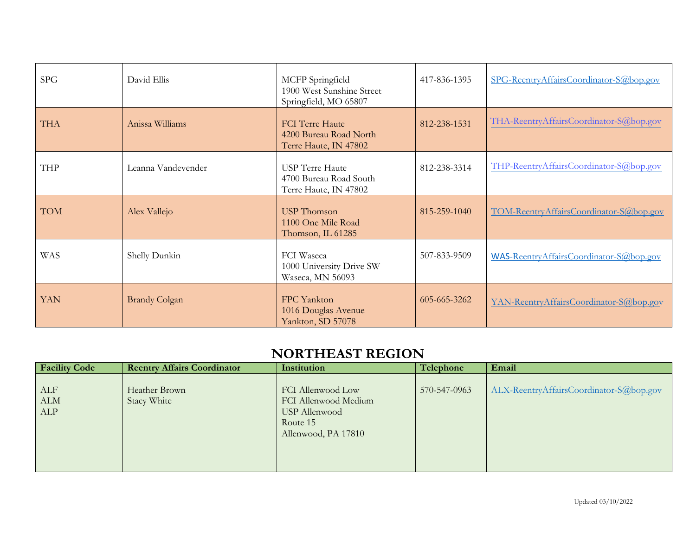| <b>SPG</b> | David Ellis          | MCFP Springfield<br>1900 West Sunshine Street<br>Springfield, MO 65807    | 417-836-1395 | SPG-ReentryAffairsCoordinator-S@bop.gov |
|------------|----------------------|---------------------------------------------------------------------------|--------------|-----------------------------------------|
| <b>THA</b> | Anissa Williams      | <b>FCI</b> Terre Haute<br>4200 Bureau Road North<br>Terre Haute, IN 47802 | 812-238-1531 | THA-ReentryAffairsCoordinator-S@bop.gov |
| <b>THP</b> | Leanna Vandevender   | <b>USP</b> Terre Haute<br>4700 Bureau Road South<br>Terre Haute, IN 47802 | 812-238-3314 | THP-ReentryAffairsCoordinator-S@bop.gov |
| <b>TOM</b> | Alex Vallejo         | <b>USP</b> Thomson<br>1100 One Mile Road<br>Thomson, IL 61285             | 815-259-1040 | TOM-ReentryAffairsCoordinator-S@bop.gov |
| <b>WAS</b> | Shelly Dunkin        | <b>FCI</b> Waseca<br>1000 University Drive SW<br>Waseca, MN 56093         | 507-833-9509 | WAS-ReentryAffairsCoordinator-S@bop.gov |
| <b>YAN</b> | <b>Brandy Colgan</b> | FPC Yankton<br>1016 Douglas Avenue<br>Yankton, SD 57078                   | 605-665-3262 | YAN-ReentryAffairsCoordinator-S@bop.gov |

## **NORTHEAST REGION**

| <b>Facility Code</b>               | <b>Reentry Affairs Coordinator</b> | Institution                                                                                   | Telephone    | Email                                   |
|------------------------------------|------------------------------------|-----------------------------------------------------------------------------------------------|--------------|-----------------------------------------|
| ALF<br>$\Lambda\mathrm{LM}$<br>ALP | Heather Brown<br>Stacy White       | FCI Allenwood Low<br>FCI Allenwood Medium<br>USP Allenwood<br>Route 15<br>Allenwood, PA 17810 | 570-547-0963 | ALX-ReentryAffairsCoordinator-S@bop.gov |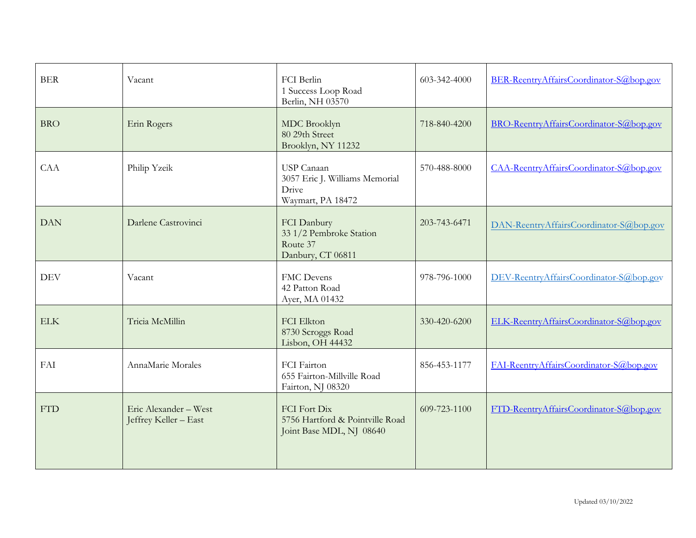| <b>BER</b> | Vacant                                         | FCI Berlin<br>1 Success Loop Road<br>Berlin, NH 03570                       | 603-342-4000 | BER-ReentryAffairsCoordinator-S@bop.gov |
|------------|------------------------------------------------|-----------------------------------------------------------------------------|--------------|-----------------------------------------|
| <b>BRO</b> | Erin Rogers                                    | MDC Brooklyn<br>80 29th Street<br>Brooklyn, NY 11232                        | 718-840-4200 | BRO-ReentryAffairsCoordinator-S@bop.gov |
| CAA        | Philip Yzeik                                   | USP Canaan<br>3057 Eric J. Williams Memorial<br>Drive<br>Waymart, PA 18472  | 570-488-8000 | CAA-ReentryAffairsCoordinator-S@bop.gov |
| <b>DAN</b> | Darlene Castrovinci                            | FCI Danbury<br>33 1/2 Pembroke Station<br>Route 37<br>Danbury, CT 06811     | 203-743-6471 | DAN-ReentryAffairsCoordinator-S@bop.gov |
| <b>DEV</b> | Vacant                                         | <b>FMC</b> Devens<br>42 Patton Road<br>Ayer, MA 01432                       | 978-796-1000 | DEV-ReentryAffairsCoordinator-S@bop.gov |
| <b>ELK</b> | Tricia McMillin                                | FCI Elkton<br>8730 Scroggs Road<br>Lisbon, OH 44432                         | 330-420-6200 | ELK-ReentryAffairsCoordinator-S@bop.gov |
| FAI        | AnnaMarie Morales                              | FCI Fairton<br>655 Fairton-Millville Road<br>Fairton, NJ 08320              | 856-453-1177 | FAI-ReentryAffairsCoordinator-S@bop.gov |
| <b>FTD</b> | Eric Alexander - West<br>Jeffrey Keller - East | FCI Fort Dix<br>5756 Hartford & Pointville Road<br>Joint Base MDL, NJ 08640 | 609-723-1100 | FTD-ReentryAffairsCoordinator-S@bop.gov |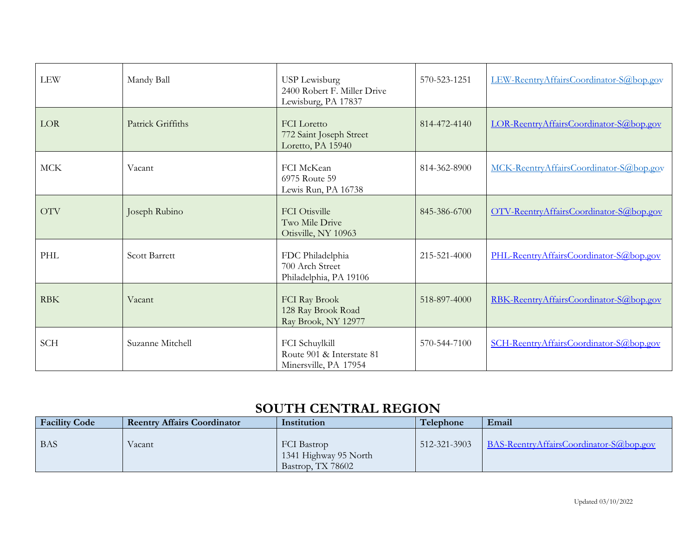| <b>LEW</b> | Mandy Ball           | <b>USP</b> Lewisburg<br>2400 Robert F. Miller Drive<br>Lewisburg, PA 17837 | 570-523-1251 | LEW-ReentryAffairsCoordinator-S@bop.gov |
|------------|----------------------|----------------------------------------------------------------------------|--------------|-----------------------------------------|
| LOR        | Patrick Griffiths    | <b>FCI</b> Loretto<br>772 Saint Joseph Street<br>Loretto, PA 15940         | 814-472-4140 | LOR-ReentryAffairsCoordinator-S@bop.gov |
| <b>MCK</b> | Vacant               | FCI McKean<br>6975 Route 59<br>Lewis Run, PA 16738                         | 814-362-8900 | MCK-ReentryAffairsCoordinator-S@bop.gov |
| <b>OTV</b> | Joseph Rubino        | <b>FCI</b> Otisville<br>Two Mile Drive<br>Otisville, NY 10963              | 845-386-6700 | OTV-ReentryAffairsCoordinator-S@bop.gov |
| PHL        | <b>Scott Barrett</b> | FDC Philadelphia<br>700 Arch Street<br>Philadelphia, PA 19106              | 215-521-4000 | PHL-ReentryAffairsCoordinator-S@bop.gov |
| <b>RBK</b> | Vacant               | FCI Ray Brook<br>128 Ray Brook Road<br>Ray Brook, NY 12977                 | 518-897-4000 | RBK-ReentryAffairsCoordinator-S@bop.gov |
| <b>SCH</b> | Suzanne Mitchell     | FCI Schuylkill<br>Route 901 & Interstate 81<br>Minersville, PA 17954       | 570-544-7100 | SCH-ReentryAffairsCoordinator-S@bop.gov |

#### **SOUTH CENTRAL REGION**

| <b>Facility Code</b> | <b>Reentry Affairs Coordinator</b> | Institution                                                      | Telephone    | Email                                   |
|----------------------|------------------------------------|------------------------------------------------------------------|--------------|-----------------------------------------|
| <b>BAS</b>           | Vacant                             | <b>FCI</b> Bastrop<br>1341 Highway 95 North<br>Bastrop, TX 78602 | 512-321-3903 | BAS-ReentryAffairsCoordinator-S@bop.gov |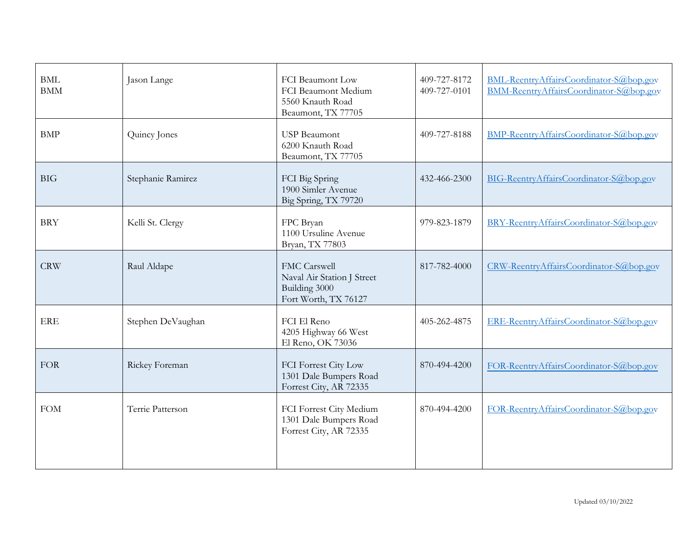| $\operatorname{BMI}$<br><b>BMM</b> | Jason Lange       | FCI Beaumont Low<br>FCI Beaumont Medium<br>5560 Knauth Road<br>Beaumont, TX 77705   | 409-727-8172<br>409-727-0101 | BML-ReentryAffairsCoordinator-S@bop.gov<br>BMM-ReentryAffairsCoordinator-S@bop.gov |
|------------------------------------|-------------------|-------------------------------------------------------------------------------------|------------------------------|------------------------------------------------------------------------------------|
| <b>BMP</b>                         | Quincy Jones      | <b>USP Beaumont</b><br>6200 Knauth Road<br>Beaumont, TX 77705                       | 409-727-8188                 | BMP-ReentryAffairsCoordinator-S@bop.gov                                            |
| <b>BIG</b>                         | Stephanie Ramirez | FCI Big Spring<br>1900 Simler Avenue<br>Big Spring, TX 79720                        | 432-466-2300                 | BIG-ReentryAffairsCoordinator-S@bop.gov                                            |
| <b>BRY</b>                         | Kelli St. Clergy  | FPC Bryan<br>1100 Ursuline Avenue<br>Bryan, TX 77803                                | 979-823-1879                 | BRY-ReentryAffairsCoordinator-S@bop.gov                                            |
| <b>CRW</b>                         | Raul Aldape       | FMC Carswell<br>Naval Air Station J Street<br>Building 3000<br>Fort Worth, TX 76127 | 817-782-4000                 | CRW-ReentryAffairsCoordinator-S@bop.gov                                            |
| <b>ERE</b>                         | Stephen DeVaughan | FCI El Reno<br>4205 Highway 66 West<br>El Reno, OK 73036                            | 405-262-4875                 | ERE-ReentryAffairsCoordinator-S@bop.gov                                            |
| <b>FOR</b>                         | Rickey Foreman    | FCI Forrest City Low<br>1301 Dale Bumpers Road<br>Forrest City, AR 72335            | 870-494-4200                 | FOR-ReentryAffairsCoordinator-S@bop.gov                                            |
| <b>FOM</b>                         | Terrie Patterson  | FCI Forrest City Medium<br>1301 Dale Bumpers Road<br>Forrest City, AR 72335         | 870-494-4200                 | FOR-ReentryAffairsCoordinator-S@bop.gov                                            |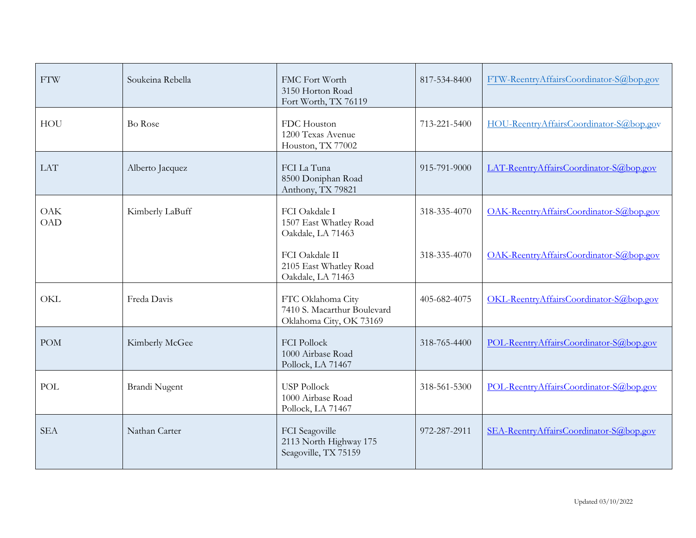| <b>FTW</b>               | Soukeina Rebella | FMC Fort Worth<br>3150 Horton Road<br>Fort Worth, TX 76119                  | 817-534-8400 | FTW-ReentryAffairsCoordinator-S@bop.gov |
|--------------------------|------------------|-----------------------------------------------------------------------------|--------------|-----------------------------------------|
| <b>HOU</b>               | Bo Rose          | FDC Houston<br>1200 Texas Avenue<br>Houston, TX 77002                       | 713-221-5400 | HOU-ReentryAffairsCoordinator-S@bop.gov |
| <b>LAT</b>               | Alberto Jacquez  | FCI La Tuna<br>8500 Doniphan Road<br>Anthony, TX 79821                      | 915-791-9000 | LAT-ReentryAffairsCoordinator-S@bop.gov |
| <b>OAK</b><br><b>OAD</b> | Kimberly LaBuff  | FCI Oakdale I<br>1507 East Whatley Road<br>Oakdale, LA 71463                | 318-335-4070 | OAK-ReentryAffairsCoordinator-S@bop.gov |
|                          |                  | FCI Oakdale II<br>2105 East Whatley Road<br>Oakdale, LA 71463               | 318-335-4070 | OAK-ReentryAffairsCoordinator-S@bop.gov |
| OKL                      | Freda Davis      | FTC Oklahoma City<br>7410 S. Macarthur Boulevard<br>Oklahoma City, OK 73169 | 405-682-4075 | OKL-ReentryAffairsCoordinator-S@bop.gov |
| <b>POM</b>               | Kimberly McGee   | <b>FCI Pollock</b><br>1000 Airbase Road<br>Pollock, LA 71467                | 318-765-4400 | POL-ReentryAffairsCoordinator-S@bop.gov |
| POL                      | Brandi Nugent    | <b>USP Pollock</b><br>1000 Airbase Road<br>Pollock, LA 71467                | 318-561-5300 | POL-ReentryAffairsCoordinator-S@bop.gov |
| <b>SEA</b>               | Nathan Carter    | FCI Seagoville<br>2113 North Highway 175<br>Seagoville, TX 75159            | 972-287-2911 | SEA-ReentryAffairsCoordinator-S@bop.gov |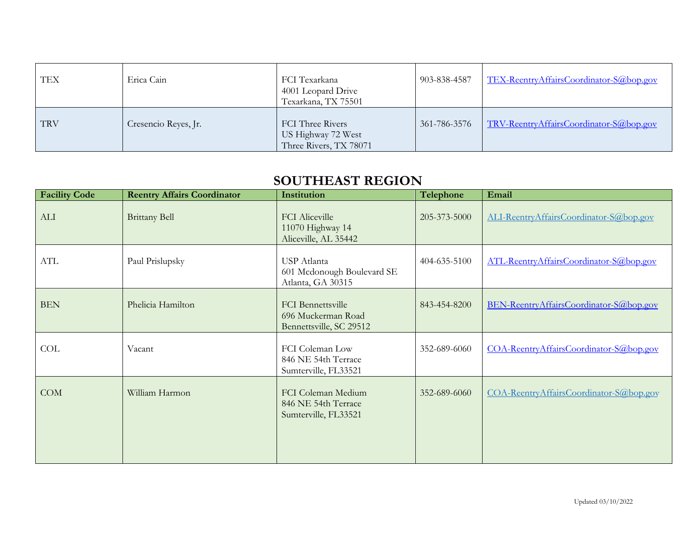| TEX        | Erica Cain           | FCI Texarkana<br>4001 Leopard Drive<br>Texarkana, TX 75501       | 903-838-4587 | TEX-ReentryAffairsCoordinator-S@bop.gov |
|------------|----------------------|------------------------------------------------------------------|--------------|-----------------------------------------|
| <b>TRV</b> | Cresencio Reyes, Jr. | FCI Three Rivers<br>US Highway 72 West<br>Three Rivers, TX 78071 | 361-786-3576 | TRV-ReentryAffairsCoordinator-S@bop.gov |

#### **SOUTHEAST REGION**

| <b>Facility Code</b> | <b>Reentry Affairs Coordinator</b> | Institution                                                               | Telephone    | Email                                   |
|----------------------|------------------------------------|---------------------------------------------------------------------------|--------------|-----------------------------------------|
| ALI                  | <b>Brittany Bell</b>               | <b>FCI</b> Aliceville<br>11070 Highway 14<br>Aliceville, AL 35442         | 205-373-5000 | ALI-ReentryAffairsCoordinator-S@bop.gov |
| ATL                  | Paul Prislupsky                    | USP Atlanta<br>601 Mcdonough Boulevard SE<br>Atlanta, GA 30315            | 404-635-5100 | ATL-ReentryAffairsCoordinator-S@bop.gov |
| <b>BEN</b>           | Phelicia Hamilton                  | <b>FCI</b> Bennettsville<br>696 Muckerman Road<br>Bennettsville, SC 29512 | 843-454-8200 | BEN-ReentryAffairsCoordinator-S@bop.gov |
| COL                  | Vacant                             | FCI Coleman Low<br>846 NE 54th Terrace<br>Sumterville, FL33521            | 352-689-6060 | COA-ReentryAffairsCoordinator-S@bop.gov |
| COM                  | William Harmon                     | FCI Coleman Medium<br>846 NE 54th Terrace<br>Sumterville, FL33521         | 352-689-6060 | COA-ReentryAffairsCoordinator-S@bop.gov |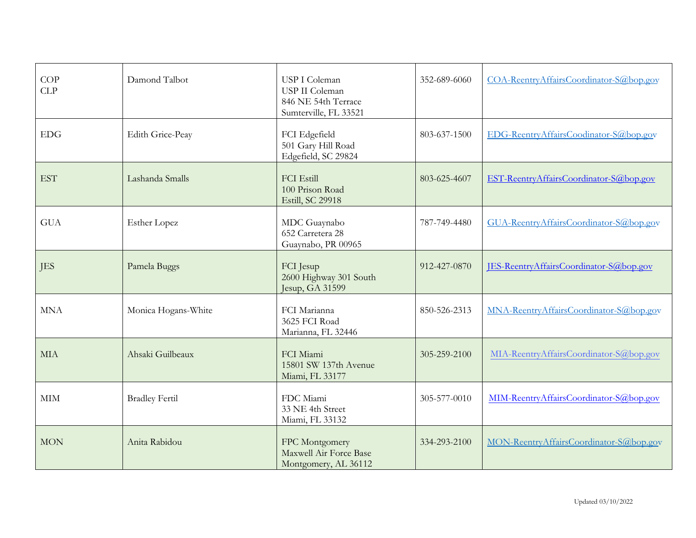| COP<br>CLP   | Damond Talbot         | USP I Coleman<br>USP II Coleman<br>846 NE 54th Terrace<br>Sumterville, FL 33521 | 352-689-6060 | COA-ReentryAffairsCoordinator-S@bop.gov |
|--------------|-----------------------|---------------------------------------------------------------------------------|--------------|-----------------------------------------|
| <b>EDG</b>   | Edith Grice-Peay      | FCI Edgefield<br>501 Gary Hill Road<br>Edgefield, SC 29824                      | 803-637-1500 | EDG-ReentryAffairsCoodinator-S@bop.gov  |
| <b>EST</b>   | Lashanda Smalls       | <b>FCI Estill</b><br>100 Prison Road<br>Estill, SC 29918                        | 803-625-4607 | EST-ReentryAffairsCoordinator-S@bop.gov |
| <b>GUA</b>   | <b>Esther Lopez</b>   | MDC Guaynabo<br>652 Carretera 28<br>Guaynabo, PR 00965                          | 787-749-4480 | GUA-ReentryAffairsCoordinator-S@bop.gov |
| <b>JES</b>   | Pamela Buggs          | FCI Jesup<br>2600 Highway 301 South<br>Jesup, GA 31599                          | 912-427-0870 | JES-ReentryAffairsCoordinator-S@bop.gov |
| <b>MNA</b>   | Monica Hogans-White   | FCI Marianna<br>3625 FCI Road<br>Marianna, FL 32446                             | 850-526-2313 | MNA-ReentryAffairsCoordinator-S@bop.gov |
| <b>MIA</b>   | Ahsaki Guilbeaux      | FCI Miami<br>15801 SW 137th Avenue<br>Miami, FL 33177                           | 305-259-2100 | MIA-ReentryAffairsCoordinator-S@bop.gov |
| $\mbox{MIM}$ | <b>Bradley Fertil</b> | FDC Miami<br>33 NE 4th Street<br>Miami, FL 33132                                | 305-577-0010 | MIM-ReentryAffairsCoordinator-S@bop.gov |
| <b>MON</b>   | Anita Rabidou         | FPC Montgomery<br>Maxwell Air Force Base<br>Montgomery, AL 36112                | 334-293-2100 | MON-ReentryAffairsCoordinator-S@bop.gov |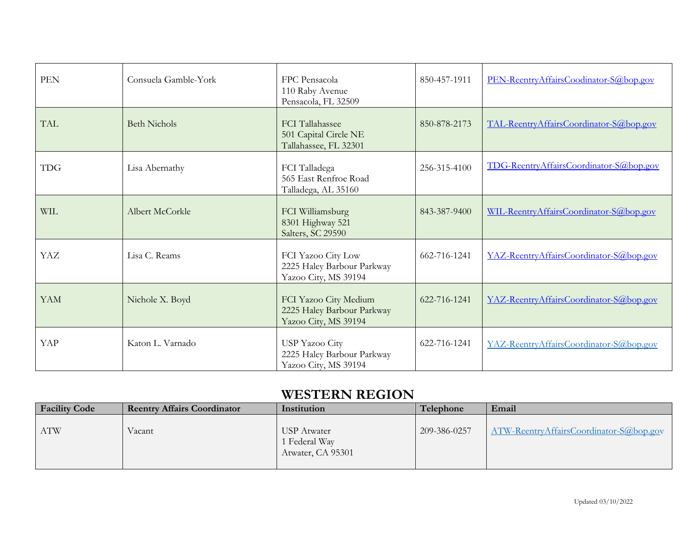| <b>PEN</b> | Consuela Gamble-York | FPC Pensacola<br>110 Raby Avenue<br>Pensacola, FL 32509                     | 850-457-1911 | PEN-ReentryAffairsCoodinator-S@bop.gov  |
|------------|----------------------|-----------------------------------------------------------------------------|--------------|-----------------------------------------|
| <b>TAL</b> | <b>Beth Nichols</b>  | <b>FCI</b> Tallahassee<br>501 Capital Circle NE<br>Tallahassee, FL 32301    | 850-878-2173 | TAL-ReentryAffairsCoordinator-S@bop.gov |
| <b>TDG</b> | Lisa Abernathy       | FCI Talladega<br>565 East Renfroe Road<br>Talladega, AL 35160               | 256-315-4100 | TDG-ReentryAffairsCoordinator-S@bop.gov |
| <b>WIL</b> | Albert McCorkle      | FCI Williamsburg<br>8301 Highway 521<br>Salters, SC 29590                   | 843-387-9400 | WIL-ReentryAffairsCoordinator-S@bop.gov |
| YAZ        | Lisa C. Reams        | FCI Yazoo City Low<br>2225 Haley Barbour Parkway<br>Yazoo City, MS 39194    | 662-716-1241 | YAZ-ReentryAffairsCoordinator-S@bop.gov |
| <b>YAM</b> | Nichole X. Boyd      | FCI Yazoo City Medium<br>2225 Haley Barbour Parkway<br>Yazoo City, MS 39194 | 622-716-1241 | YAZ-ReentryAffairsCoordinator-S@bop.gov |
| YAP        | Katon L. Varnado     | <b>USP Yazoo City</b><br>2225 Haley Barbour Parkway<br>Yazoo City, MS 39194 | 622-716-1241 | YAZ-ReentryAffairsCoordinator-S@bop.gov |

## **WESTERN REGION**

| <b>Facility Code</b> | <b>Reentry Affairs Coordinator</b> | Institution                                       | Telephone    | Email                                   |
|----------------------|------------------------------------|---------------------------------------------------|--------------|-----------------------------------------|
| <b>ATW</b>           | Vacant                             | USP Atwater<br>1 Federal Way<br>Atwater, CA 95301 | 209-386-0257 | ATW-ReentryAffairsCoordinator-S@bop.gov |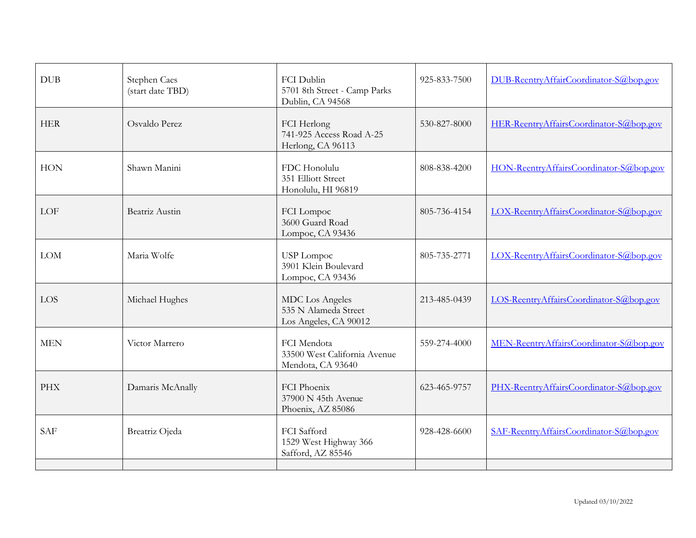| <b>DUB</b> | Stephen Caes<br>(start date TBD) | FCI Dublin<br>5701 8th Street - Camp Parks<br>Dublin, CA 94568          | 925-833-7500 | DUB-ReentryAffairCoordinator-S@bop.gov  |
|------------|----------------------------------|-------------------------------------------------------------------------|--------------|-----------------------------------------|
| <b>HER</b> | Osvaldo Perez                    | FCI Herlong<br>741-925 Access Road A-25<br>Herlong, CA 96113            | 530-827-8000 | HER-ReentryAffairsCoordinator-S@bop.gov |
| <b>HON</b> | Shawn Manini                     | FDC Honolulu<br>351 Elliott Street<br>Honolulu, HI 96819                | 808-838-4200 | HON-ReentryAffairsCoordinator-S@bop.gov |
| LOF        | Beatriz Austin                   | FCI Lompoc<br>3600 Guard Road<br>Lompoc, CA 93436                       | 805-736-4154 | LOX-ReentryAffairsCoordinator-S@bop.gov |
| <b>LOM</b> | Maria Wolfe                      | USP Lompoc<br>3901 Klein Boulevard<br>Lompoc, CA 93436                  | 805-735-2771 | LOX-ReentryAffairsCoordinator-S@bop.gov |
| <b>LOS</b> | Michael Hughes                   | <b>MDC</b> Los Angeles<br>535 N Alameda Street<br>Los Angeles, CA 90012 | 213-485-0439 | LOS-ReentryAffairsCoordinator-S@bop.gov |
| <b>MEN</b> | Victor Marrero                   | FCI Mendota<br>33500 West California Avenue<br>Mendota, CA 93640        | 559-274-4000 | MEN-ReentryAffairsCoordinator-S@bop.gov |
| <b>PHX</b> | Damaris McAnally                 | FCI Phoenix<br>37900 N 45th Avenue<br>Phoenix, AZ 85086                 | 623-465-9757 | PHX-ReentryAffairsCoordinator-S@bop.gov |
| <b>SAF</b> | Breatriz Ojeda                   | FCI Safford<br>1529 West Highway 366<br>Safford, AZ 85546               | 928-428-6600 | SAF-ReentryAffairsCoordinator-S@bop.gov |
|            |                                  |                                                                         |              |                                         |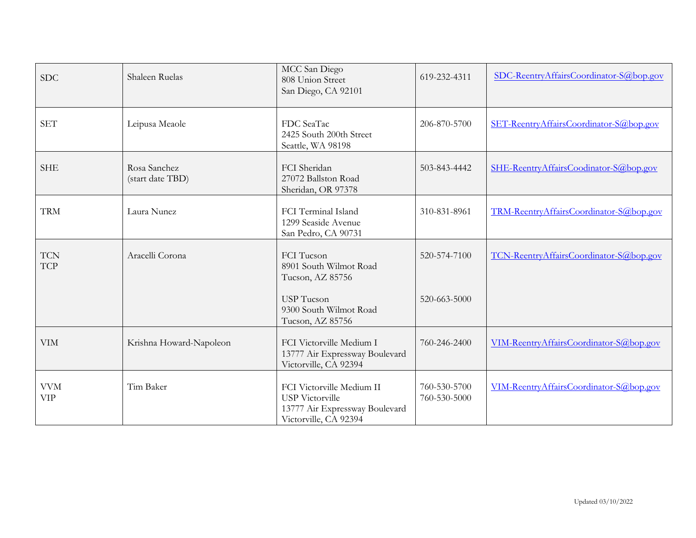| <b>SDC</b>               | Shaleen Ruelas                   | MCC San Diego<br>808 Union Street<br>San Diego, CA 92101                                                       | 619-232-4311                 | SDC-ReentryAffairsCoordinator-S@bop.gov |
|--------------------------|----------------------------------|----------------------------------------------------------------------------------------------------------------|------------------------------|-----------------------------------------|
| <b>SET</b>               | Leipusa Meaole                   | FDC SeaTac<br>2425 South 200th Street<br>Seattle, WA 98198                                                     | 206-870-5700                 | SET-ReentryAffairsCoordinator-S@bop.gov |
| <b>SHE</b>               | Rosa Sanchez<br>(start date TBD) | FCI Sheridan<br>27072 Ballston Road<br>Sheridan, OR 97378                                                      | 503-843-4442                 | SHE-ReentryAffairsCoodinator-S@bop.gov  |
| <b>TRM</b>               | Laura Nunez                      | FCI Terminal Island<br>1299 Seaside Avenue<br>San Pedro, CA 90731                                              | 310-831-8961                 | TRM-ReentryAffairsCoordinator-S@bop.gov |
| <b>TCN</b><br><b>TCP</b> | Aracelli Corona                  | FCI Tucson<br>8901 South Wilmot Road<br>Tucson, AZ 85756                                                       | 520-574-7100                 | TCN-ReentryAffairsCoordinator-S@bop.gov |
|                          |                                  | <b>USP</b> Tucson<br>9300 South Wilmot Road<br>Tucson, AZ 85756                                                | 520-663-5000                 |                                         |
| <b>VIM</b>               | Krishna Howard-Napoleon          | FCI Victorville Medium I<br>13777 Air Expressway Boulevard<br>Victorville, CA 92394                            | 760-246-2400                 | VIM-ReentryAffairsCoordinator-S@bop.gov |
| <b>VVM</b><br><b>VIP</b> | Tim Baker                        | FCI Victorville Medium II<br><b>USP</b> Victorville<br>13777 Air Expressway Boulevard<br>Victorville, CA 92394 | 760-530-5700<br>760-530-5000 | VIM-ReentryAffairsCoordinator-S@bop.gov |